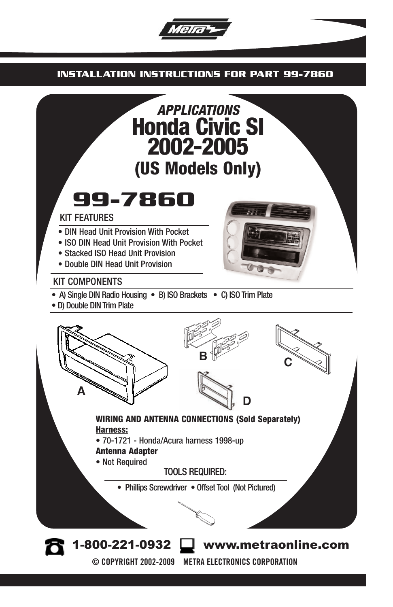

#### **INSTALLATION INSTRUCTIONS FOR PART 99-7860**

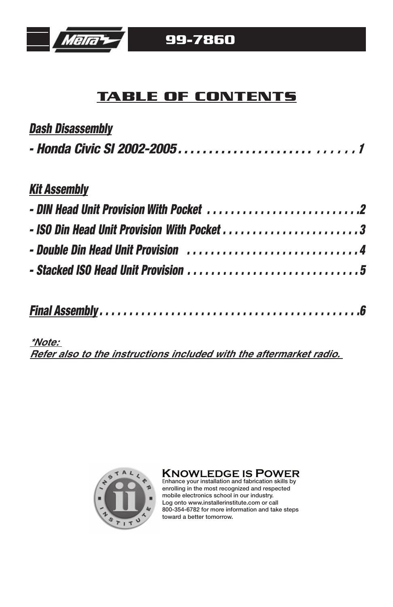

## **TABLE OF CONTENTS**

| <b>Dash Disassembly</b> |  |  |
|-------------------------|--|--|
|                         |  |  |

## *Kit Assembly*

# *Final Assembly . . . . . . . . . . . . . . . . . . . . . . . . . . . . . . . . . . . . . . . . . . . .6*

#### **\*Note:**

**Refer also to the instructions included with the aftermarket radio.** 



**KNOWLEDGE IS POWER** <sup>E</sup>nhance your installation and fabrication skills by

enrolling in the most recognized and espected mobile electronics school in our industry. Log onto www.installerinstitute.com or call 800-354-6782 for more information and take steps toward a better tomorrow.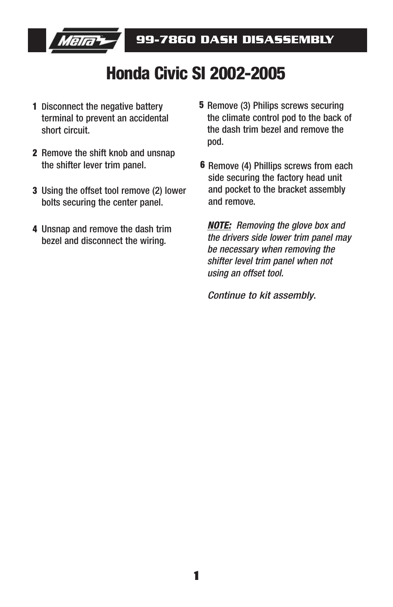

# **Honda Civic SI 2002-2005**

- **1** Disconnect the negative battery terminal to prevent an accidental short circuit.
- 2 Remove the shift knob and unsnap the shifter lever trim panel.
- Using the offset tool remove (2) lower **3** bolts securing the center panel.
- Unsnap and remove the dash trim **4** bezel and disconnect the wiring.
- **5** Remove (3) Philips screws securing the climate control pod to the back of the dash trim bezel and remove the pod.
- **6** Remove (4) Phillips screws from each side securing the factory head unit and pocket to the bracket assembly and remove.

*NOTE: Removing the glove box and the drivers side lower trim panel may be necessary when removing the shifter level trim panel when not using an offset tool.*

*Continue to kit assembly*.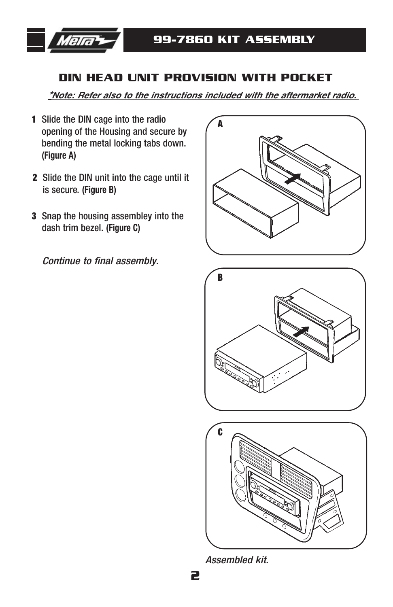

#### **DIN HEAD UNIT PROVISION WITH POCKET**

**\*Note: Refer also to the instructions included with the aftermarket radio.** 

- Slide the DIN cage into the radio **1** opening of the Housing and secure by bending the metal locking tabs down. **(Figure A)**
- Slide the DIN unit into the cage until it **2** is secure. **(Figure B)**
- Snap the housing assembley into the **3** dash trim bezel. **(Figure C)**

*Continue to final assembly*.







*Assembled kit*.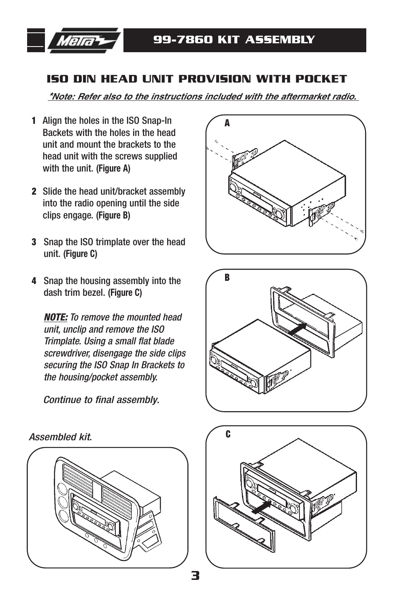

### **ISO DIN HEAD UNIT PROVISION WITH POCKET**

**\*Note: Refer also to the instructions included with the aftermarket radio.** 

- Align the holes in the ISO Snap-In **1** Backets with the holes in the head unit and mount the brackets to the head unit with the screws supplied with the unit. **(Figure A)**
- Slide the head unit/bracket assembly **2** into the radio opening until the side clips engage. **(Figure B)**
- Snap the ISO trimplate over the head **3** unit. **(Figure C)**
- Snap the housing assembly into the **4** dash trim bezel. **(Figure C)**

*NOTE: To remove the mounted head unit, unclip and remove the ISO Trimplate. Using a small flat blade screwdriver, disengage the side clips securing the ISO Snap In Brackets to the housing/pocket assembly.* 

*Continue to final assembly*.









*Assembled kit*.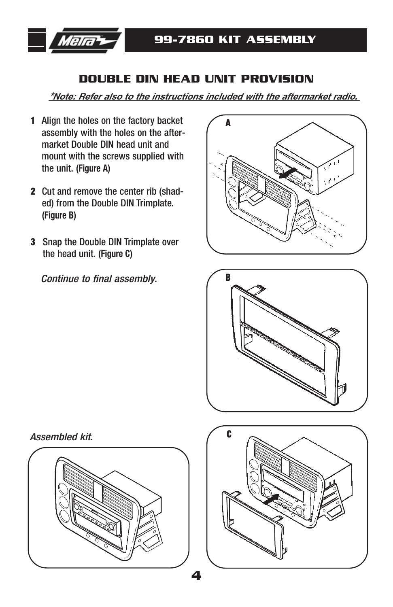

#### **DOUBLE DIN HEAD UNIT PROVISION**

**\*Note: Refer also to the instructions included with the aftermarket radio.** 

- Align the holes on the factory backet **1** assembly with the holes on the aftermarket Double DIN head unit and mount with the screws supplied with the unit. **(Figure A)**
- Cut and remove the center rib (shad-**2** ed) from the Double DIN Trimplate. **(Figure B)**
- Snap the Double DIN Trimplate over **3** the head unit. **(Figure C)**

*Continue to final assembly*.





*Assembled kit*.



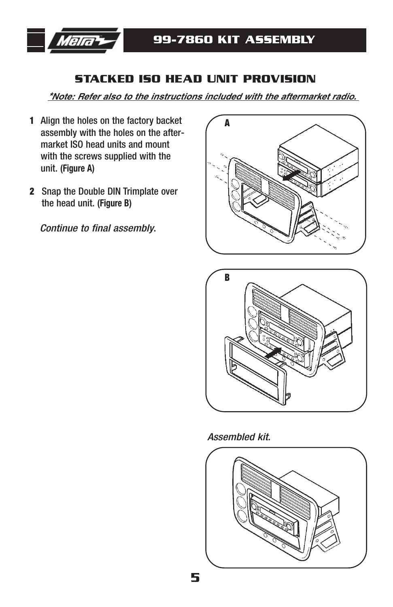

### **STACKED ISO HEAD UNIT PROVISION**

**\*Note: Refer also to the instructions included with the aftermarket radio.** 

- Align the holes on the factory backet **1** assembly with the holes on the aftermarket ISO head units and mount with the screws supplied with the unit. **(Figure A)**
- Snap the Double DIN Trimplate over **2** the head unit. **(Figure B)**

*Continue to final assembly*.





*Assembled kit*.